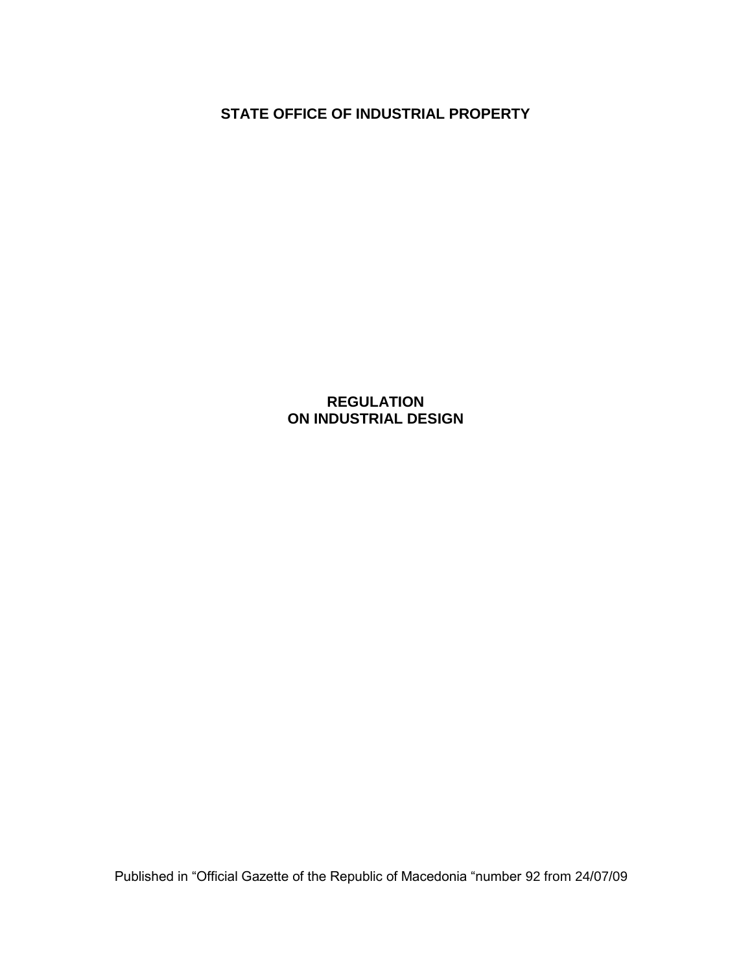**STATE OFFICE OF INDUSTRIAL PROPERTY**

**REGULATION ON INDUSTRIAL DESIGN**

Published in "Official Gazette of the Republic of Macedonia "number 92 from 24/07/09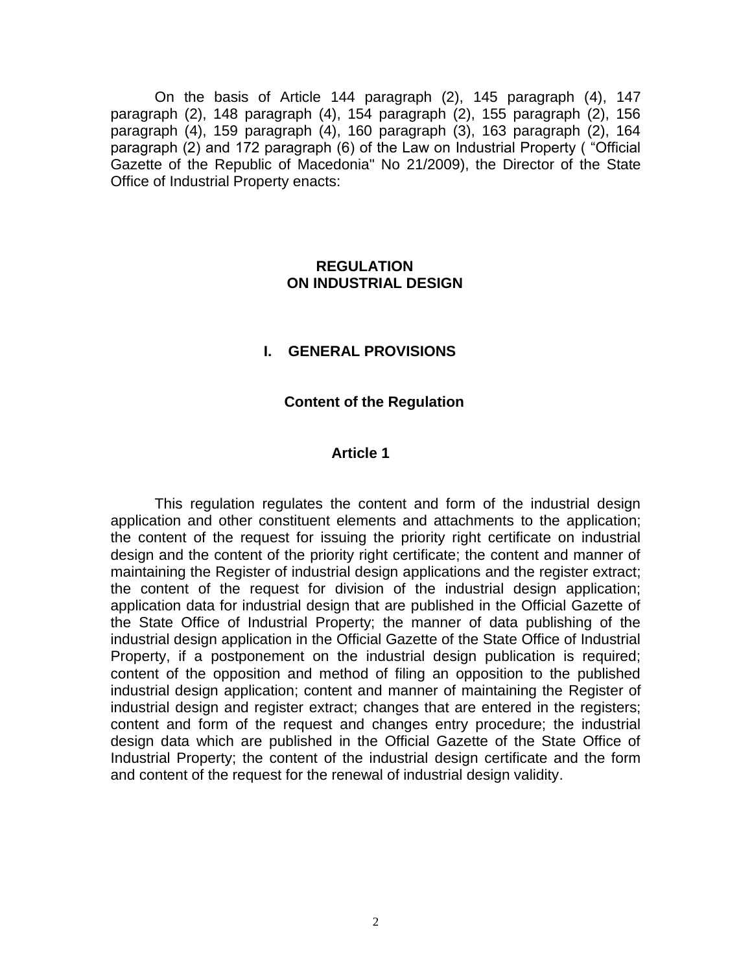On the basis of Article 144 paragraph (2), 145 paragraph (4), 147 paragraph (2), 148 paragraph (4), 154 paragraph (2), 155 paragraph (2), 156 paragraph (4), 159 paragraph (4), 160 paragraph (3), 163 paragraph (2), 164 paragraph (2) and 172 paragraph (6) of the Law on Industrial Property ( "Official Gazette of the Republic of Macedonia" No 21/2009), the Director of the State Office of Industrial Property enacts:

#### **REGULATION ON INDUSTRIAL DESIGN**

#### **I. GENERAL PROVISIONS**

#### **Content of the Regulation**

#### **Article 1**

This regulation regulates the content and form of the industrial design application and other constituent elements and attachments to the application; the content of the request for issuing the priority right certificate on industrial design and the content of the priority right certificate; the content and manner of maintaining the Register of industrial design applications and the register extract; the content of the request for division of the industrial design application; application data for industrial design that are published in the Official Gazette of the State Office of Industrial Property; the manner of data publishing of the industrial design application in the Official Gazette of the State Office of Industrial Property, if a postponement on the industrial design publication is required; content of the opposition and method of filing an opposition to the published industrial design application; content and manner of maintaining the Register of industrial design and register extract; changes that are entered in the registers; content and form of the request and changes entry procedure; the industrial design data which are published in the Official Gazette of the State Office of Industrial Property; the content of the industrial design certificate and the form and content of the request for the renewal of industrial design validity.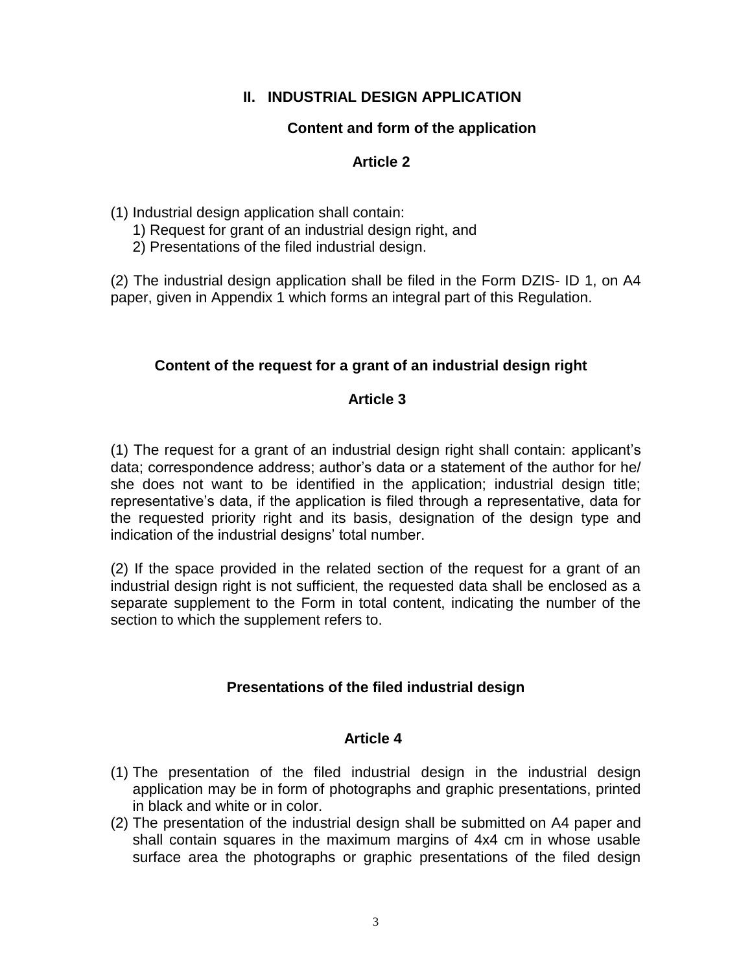# **II. INDUSTRIAL DESIGN APPLICATION**

# **Content and form of the application**

# **Article 2**

(1) Industrial design application shall contain:

- 1) Request for grant of an industrial design right, and
- 2) Presentations of the filed industrial design.

(2) The industrial design application shall be filed in the Form DZIS- ID 1, on A4 paper, given in Appendix 1 which forms an integral part of this Regulation.

# **Content of the request for a grant of an industrial design right**

# **Article 3**

(1) The request for a grant of an industrial design right shall contain: applicant's data; correspondence address; author's data or a statement of the author for he/ she does not want to be identified in the application; industrial design title; representative's data, if the application is filed through a representative, data for the requested priority right and its basis, designation of the design type and indication of the industrial designs' total number.

(2) If the space provided in the related section of the request for a grant of an industrial design right is not sufficient, the requested data shall be enclosed as a separate supplement to the Form in total content, indicating the number of the section to which the supplement refers to.

# **Presentations of the filed industrial design**

- (1) The presentation of the filed industrial design in the industrial design application may be in form of photographs and graphic presentations, printed in black and white or in color.
- (2) The presentation of the industrial design shall be submitted on A4 paper and shall contain squares in the maximum margins of 4x4 cm in whose usable surface area the photographs or graphic presentations of the filed design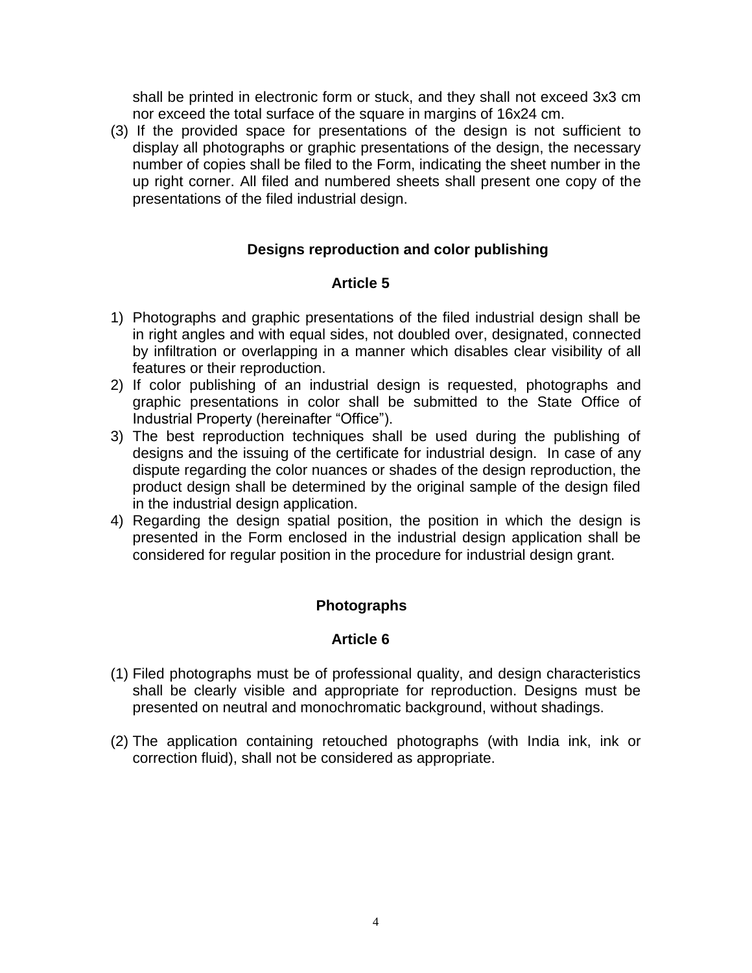shall be printed in electronic form or stuck, and they shall not exceed 3x3 cm nor exceed the total surface of the square in margins of 16x24 cm.

(3) If the provided space for presentations of the design is not sufficient to display all photographs or graphic presentations of the design, the necessary number of copies shall be filed to the Form, indicating the sheet number in the up right corner. All filed and numbered sheets shall present one copy of the presentations of the filed industrial design.

# **Designs reproduction and color publishing**

### **Article 5**

- 1) Photographs and graphic presentations of the filed industrial design shall be in right angles and with equal sides, not doubled over, designated, connected by infiltration or overlapping in a manner which disables clear visibility of all features or their reproduction.
- 2) If color publishing of an industrial design is requested, photographs and graphic presentations in color shall be submitted to the State Office of Industrial Property (hereinafter "Office").
- 3) The best reproduction techniques shall be used during the publishing of designs and the issuing of the certificate for industrial design. In case of any dispute regarding the color nuances or shades of the design reproduction, the product design shall be determined by the original sample of the design filed in the industrial design application.
- 4) Regarding the design spatial position, the position in which the design is presented in the Form enclosed in the industrial design application shall be considered for regular position in the procedure for industrial design grant.

# **Photographs**

- (1) Filed photographs must be of professional quality, and design characteristics shall be clearly visible and appropriate for reproduction. Designs must be presented on neutral and monochromatic background, without shadings.
- (2) The application containing retouched photographs (with India ink, ink or correction fluid), shall not be considered as appropriate.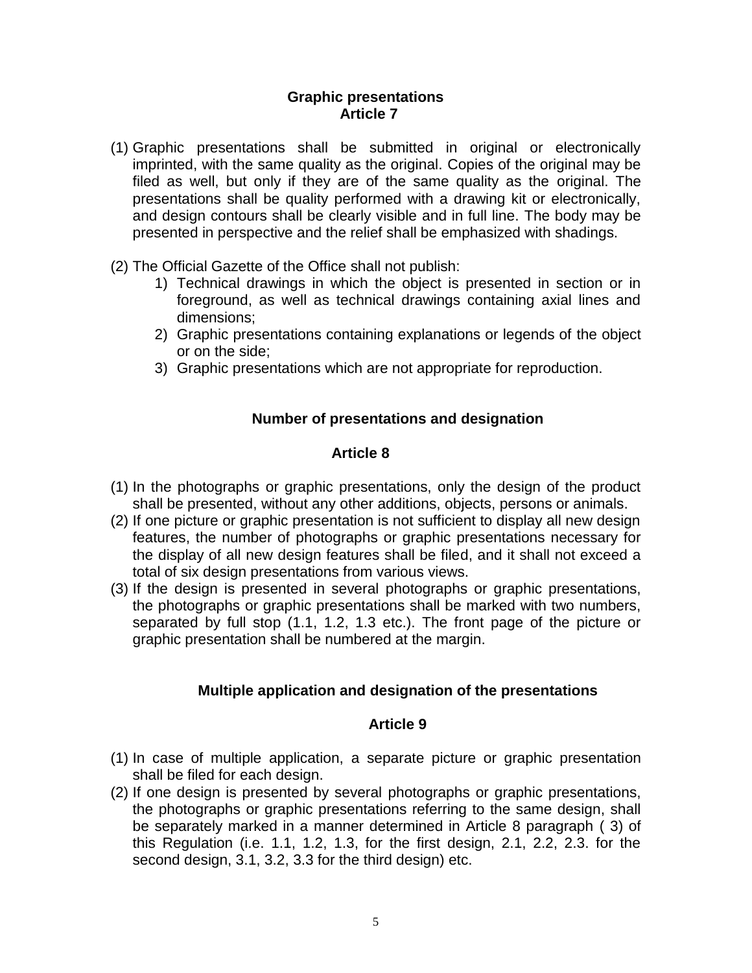#### **Graphic presentations Article 7**

- (1) Graphic presentations shall be submitted in original or electronically imprinted, with the same quality as the original. Copies of the original may be filed as well, but only if they are of the same quality as the original. The presentations shall be quality performed with a drawing kit or electronically, and design contours shall be clearly visible and in full line. The body may be presented in perspective and the relief shall be emphasized with shadings.
- (2) The Official Gazette of the Office shall not publish:
	- 1) Technical drawings in which the object is presented in section or in foreground, as well as technical drawings containing axial lines and dimensions;
	- 2) Graphic presentations containing explanations or legends of the object or on the side;
	- 3) Graphic presentations which are not appropriate for reproduction.

### **Number of presentations and designation**

### **Article 8**

- (1) In the photographs or graphic presentations, only the design of the product shall be presented, without any other additions, objects, persons or animals.
- (2) If one picture or graphic presentation is not sufficient to display all new design features, the number of photographs or graphic presentations necessary for the display of all new design features shall be filed, and it shall not exceed a total of six design presentations from various views.
- (3) If the design is presented in several photographs or graphic presentations, the photographs or graphic presentations shall be marked with two numbers, separated by full stop (1.1, 1.2, 1.3 etc.). The front page of the picture or graphic presentation shall be numbered at the margin.

### **Multiple application and designation of the presentations**

- (1) In case of multiple application, a separate picture or graphic presentation shall be filed for each design.
- (2) If one design is presented by several photographs or graphic presentations, the photographs or graphic presentations referring to the same design, shall be separately marked in a manner determined in Article 8 paragraph ( 3) of this Regulation (i.e. 1.1, 1.2, 1.3, for the first design, 2.1, 2.2, 2.3. for the second design, 3.1, 3.2, 3.3 for the third design) etc.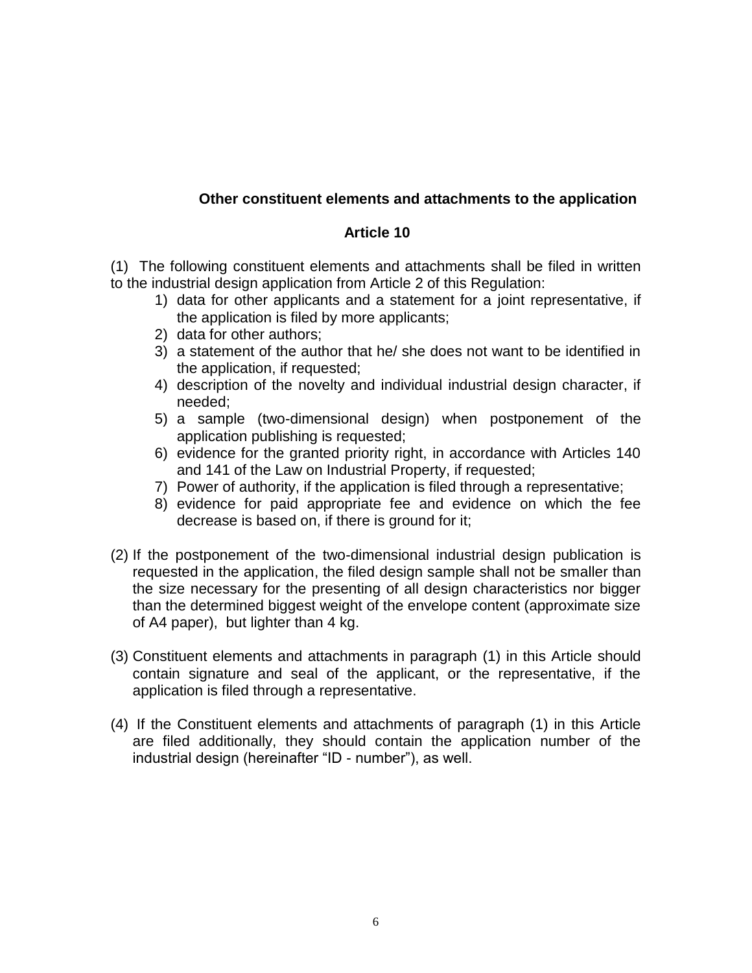# **Other constituent elements and attachments to the application**

## **Article 10**

(1) The following constituent elements and attachments shall be filed in written to the industrial design application from Article 2 of this Regulation:

- 1) data for other applicants and a statement for a joint representative, if the application is filed by more applicants;
- 2) data for other authors;
- 3) a statement of the author that he/ she does not want to be identified in the application, if requested;
- 4) description of the novelty and individual industrial design character, if needed;
- 5) a sample (two-dimensional design) when postponement of the application publishing is requested;
- 6) evidence for the granted priority right, in accordance with Articles 140 and 141 of the Law on Industrial Property, if requested;
- 7) Power of authority, if the application is filed through a representative;
- 8) evidence for paid appropriate fee and evidence on which the fee decrease is based on, if there is ground for it;
- (2) If the postponement of the two-dimensional industrial design publication is requested in the application, the filed design sample shall not be smaller than the size necessary for the presenting of all design characteristics nor bigger than the determined biggest weight of the envelope content (approximate size of A4 paper), but lighter than 4 kg.
- (3) Constituent elements and attachments in paragraph (1) in this Article should contain signature and seal of the applicant, or the representative, if the application is filed through a representative.
- (4) If the Constituent elements and attachments of paragraph (1) in this Article are filed additionally, they should contain the application number of the industrial design (hereinafter "ID - number"), as well.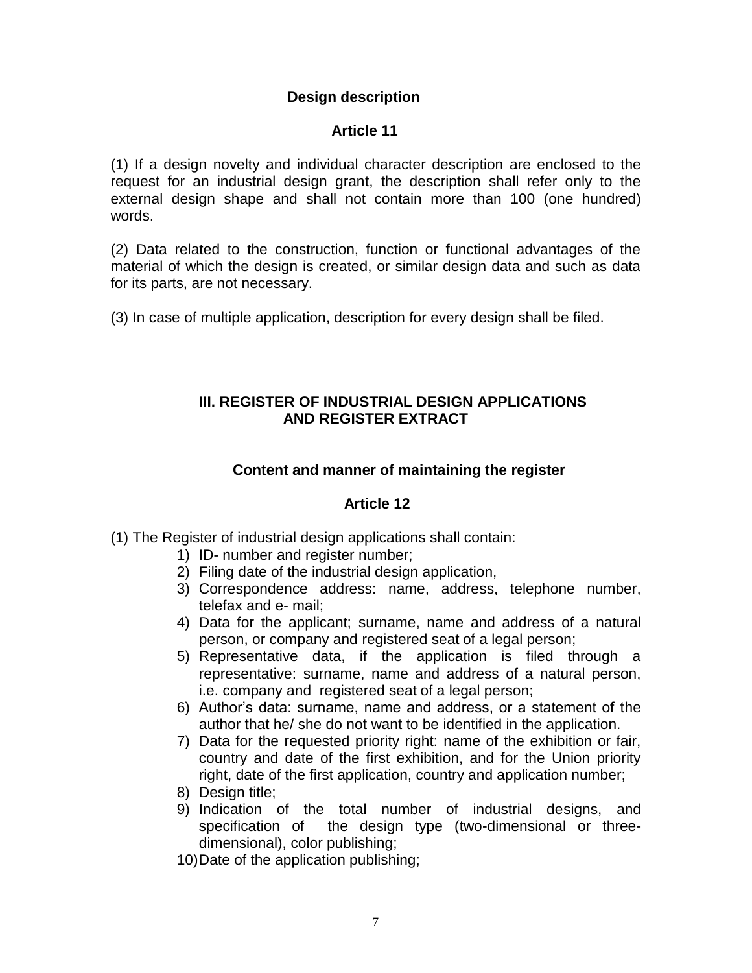# **Design description**

# **Article 11**

(1) If a design novelty and individual character description are enclosed to the request for an industrial design grant, the description shall refer only to the external design shape and shall not contain more than 100 (one hundred) words.

(2) Data related to the construction, function or functional advantages of the material of which the design is created, or similar design data and such as data for its parts, are not necessary.

(3) In case of multiple application, description for every design shall be filed.

# **III. REGISTER OF INDUSTRIAL DESIGN APPLICATIONS AND REGISTER EXTRACT**

# **Content and manner of maintaining the register**

- (1) The Register of industrial design applications shall contain:
	- 1) ID- number and register number;
	- 2) Filing date of the industrial design application,
	- 3) Correspondence address: name, address, telephone number, telefax and e- mail;
	- 4) Data for the applicant; surname, name and address of a natural person, or company and registered seat of a legal person;
	- 5) Representative data, if the application is filed through a representative: surname, name and address of a natural person, i.e. company and registered seat of a legal person:
	- 6) Author's data: surname, name and address, or a statement of the author that he/ she do not want to be identified in the application.
	- 7) Data for the requested priority right: name of the exhibition or fair, country and date of the first exhibition, and for the Union priority right, date of the first application, country and application number;
	- 8) Design title:
	- 9) Indication of the total number of industrial designs, and specification of the design type (two-dimensional or threedimensional), color publishing;
	- 10)Date of the application publishing;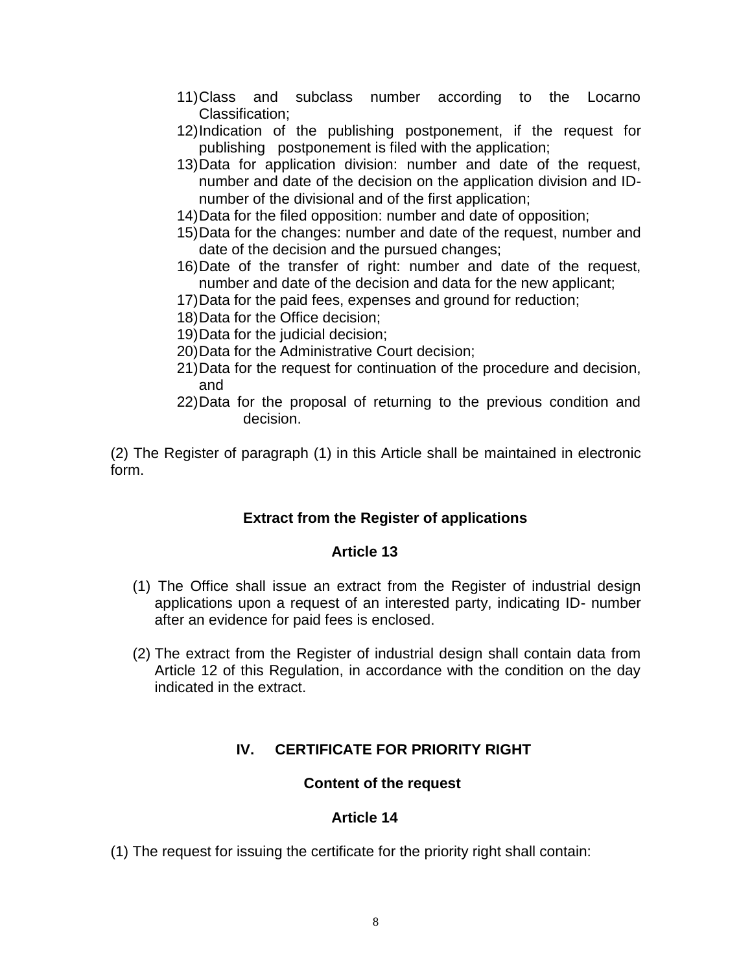- 11)Class and subclass number according to the Locarno Classification;
- 12)Indication of the publishing postponement, if the request for publishing postponement is filed with the application;
- 13)Data for application division: number and date of the request, number and date of the decision on the application division and IDnumber of the divisional and of the first application;
- 14)Data for the filed opposition: number and date of opposition;
- 15)Data for the changes: number and date of the request, number and date of the decision and the pursued changes;
- 16)Date of the transfer of right: number and date of the request, number and date of the decision and data for the new applicant;
- 17)Data for the paid fees, expenses and ground for reduction;
- 18)Data for the Office decision;
- 19)Data for the judicial decision;
- 20)Data for the Administrative Court decision;
- 21)Data for the request for continuation of the procedure and decision, and
- 22)Data for the proposal of returning to the previous condition and decision.

(2) The Register of paragraph (1) in this Article shall be maintained in electronic form.

### **Extract from the Register of applications**

#### **Article 13**

- (1) The Office shall issue an extract from the Register of industrial design applications upon a request of an interested party, indicating ID- number after an evidence for paid fees is enclosed.
- (2) The extract from the Register of industrial design shall contain data from Article 12 of this Regulation, in accordance with the condition on the day indicated in the extract.

# **IV. CERTIFICATE FOR PRIORITY RIGHT**

### **Content of the request**

#### **Article 14**

(1) The request for issuing the certificate for the priority right shall contain: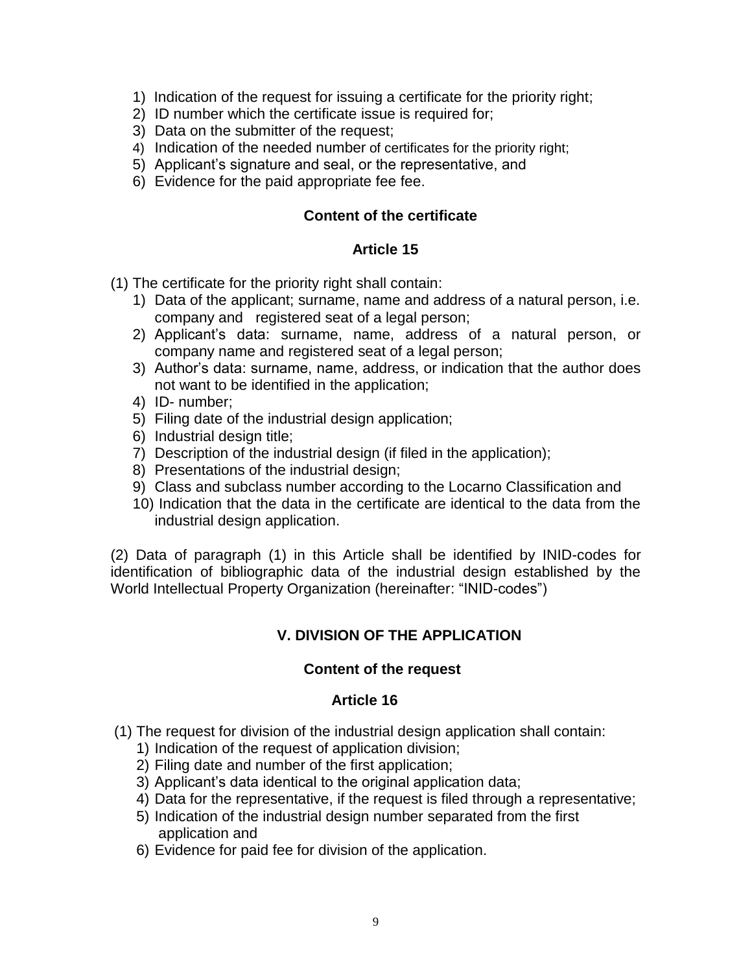- 1) Indication of the request for issuing a certificate for the priority right;
- 2) ID number which the certificate issue is required for;
- 3) Data on the submitter of the request;
- 4) Indication of the needed number of certificates for the priority right;
- 5) Applicant's signature and seal, or the representative, and
- 6) Evidence for the paid appropriate fee fee.

#### **Content of the certificate**

### **Article 15**

(1) The certificate for the priority right shall contain:

- 1) Data of the applicant; surname, name and address of a natural person, i.e. company and registered seat of a legal person;
- 2) Applicant's data: surname, name, address of a natural person, or company name and registered seat of a legal person;
- 3) Author's data: surname, name, address, or indication that the author does not want to be identified in the application;
- 4) ID- number;
- 5) Filing date of the industrial design application;
- 6) Industrial design title;
- 7) Description of the industrial design (if filed in the application);
- 8) Presentations of the industrial design;
- 9) Class and subclass number according to the Locarno Classification and
- 10) Indication that the data in the certificate are identical to the data from the industrial design application.

(2) Data of paragraph (1) in this Article shall be identified by INID-codes for identification of bibliographic data of the industrial design established by the World Intellectual Property Organization (hereinafter: "INID-codes")

# **V. DIVISION OF THE APPLICATION**

### **Content of the request**

- (1) The request for division of the industrial design application shall contain:
	- 1) Indication of the request of application division;
	- 2) Filing date and number of the first application;
	- 3) Applicant's data identical to the original application data;
	- 4) Data for the representative, if the request is filed through a representative;
	- 5) Indication of the industrial design number separated from the first application and
	- 6) Evidence for paid fee for division of the application.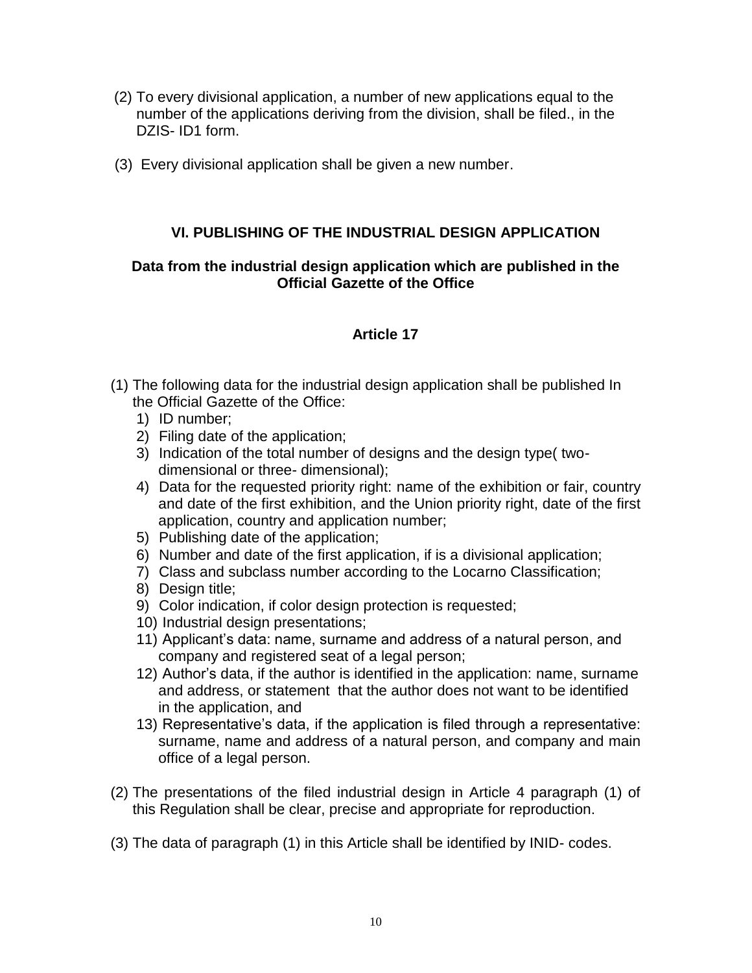- (2) To every divisional application, a number of new applications equal to the number of the applications deriving from the division, shall be filed., in the DZIS- ID1 form.
- (3) Every divisional application shall be given a new number.

## **VI. PUBLISHING OF THE INDUSTRIAL DESIGN APPLICATION**

### **Data from the industrial design application which are published in the Official Gazette of the Office**

- (1) The following data for the industrial design application shall be published In the Official Gazette of the Office:
	- 1) ID number;
	- 2) Filing date of the application;
	- 3) Indication of the total number of designs and the design type( twodimensional or three- dimensional);
	- 4) Data for the requested priority right: name of the exhibition or fair, country and date of the first exhibition, and the Union priority right, date of the first application, country and application number;
	- 5) Publishing date of the application;
	- 6) Number and date of the first application, if is a divisional application;
	- 7) Class and subclass number according to the Locarno Classification;
	- 8) Design title;
	- 9) Color indication, if color design protection is requested;
	- 10) Industrial design presentations;
	- 11) Applicant's data: name, surname and address of a natural person, and company and registered seat of a legal person;
	- 12) Author's data, if the author is identified in the application: name, surname and address, or statement that the author does not want to be identified in the application, and
	- 13) Representative's data, if the application is filed through a representative: surname, name and address of a natural person, and company and main office of a legal person.
- (2) The presentations of the filed industrial design in Article 4 paragraph (1) of this Regulation shall be clear, precise and appropriate for reproduction.
- (3) The data of paragraph (1) in this Article shall be identified by INID- codes.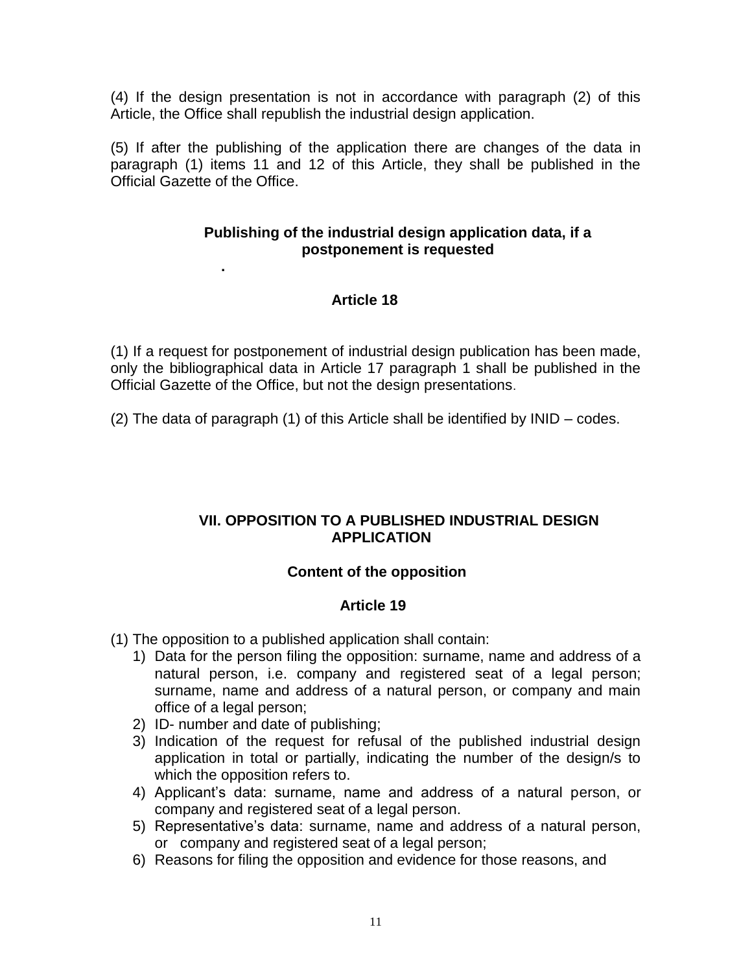(4) If the design presentation is not in accordance with paragraph (2) of this Article, the Office shall republish the industrial design application.

(5) If after the publishing of the application there are changes of the data in paragraph (1) items 11 and 12 of this Article, they shall be published in the Official Gazette of the Office.

### **Publishing of the industrial design application data, if a postponement is requested**

# **Article 18**

(1) If a request for postponement of industrial design publication has been made, only the bibliographical data in Article 17 paragraph 1 shall be published in the Official Gazette of the Office, but not the design presentations.

(2) The data of paragraph (1) of this Article shall be identified by INID – codes.

# **VII. OPPOSITION TO A PUBLISHED INDUSTRIAL DESIGN APPLICATION**

# **Content of the opposition**

### **Article 19**

- (1) The opposition to a published application shall contain:
	- 1) Data for the person filing the opposition: surname, name and address of a natural person, i.e. company and registered seat of a legal person; surname, name and address of a natural person, or company and main office of a legal person;
	- 2) ID- number and date of publishing;

 **.**

- 3) Indication of the request for refusal of the published industrial design application in total or partially, indicating the number of the design/s to which the opposition refers to.
- 4) Applicant's data: surname, name and address of a natural person, or company and registered seat of a legal person.
- 5) Representative's data: surname, name and address of a natural person, or company and registered seat of a legal person;
- 6) Reasons for filing the opposition and evidence for those reasons, and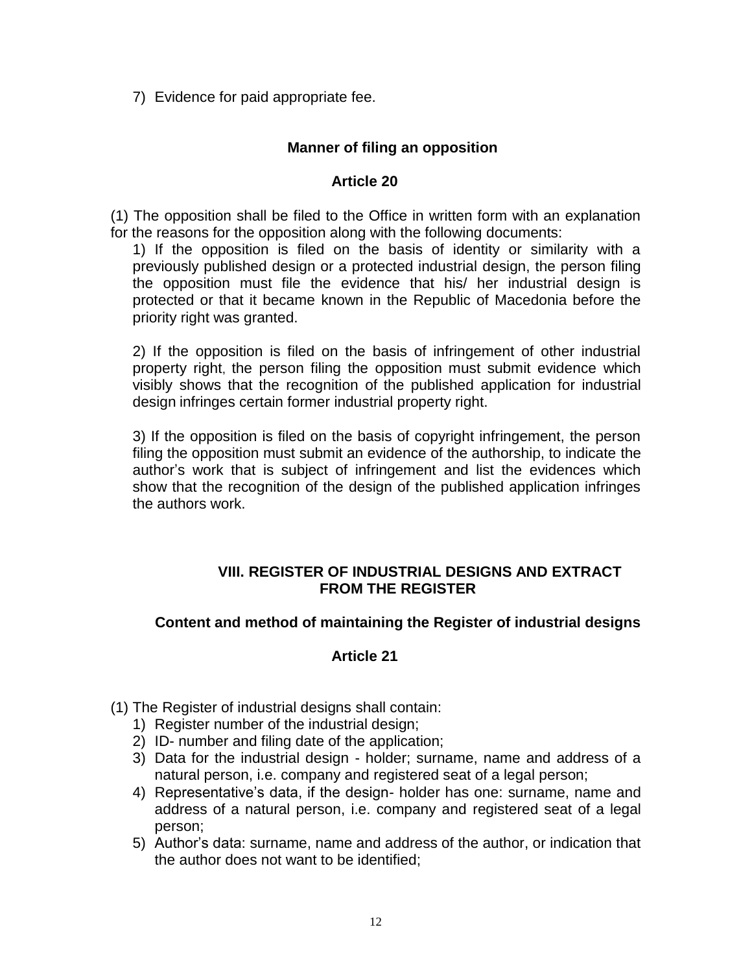7) Evidence for paid appropriate fee.

# **Manner of filing an opposition**

#### **Article 20**

(1) The opposition shall be filed to the Office in written form with an explanation for the reasons for the opposition along with the following documents:

1) If the opposition is filed on the basis of identity or similarity with a previously published design or a protected industrial design, the person filing the opposition must file the evidence that his/ her industrial design is protected or that it became known in the Republic of Macedonia before the priority right was granted.

2) If the opposition is filed on the basis of infringement of other industrial property right, the person filing the opposition must submit evidence which visibly shows that the recognition of the published application for industrial design infringes certain former industrial property right.

3) If the opposition is filed on the basis of copyright infringement, the person filing the opposition must submit an evidence of the authorship, to indicate the author's work that is subject of infringement and list the evidences which show that the recognition of the design of the published application infringes the authors work.

### **VIII. REGISTER OF INDUSTRIAL DESIGNS AND EXTRACT FROM THE REGISTER**

### **Content and method of maintaining the Register of industrial designs**

- (1) The Register of industrial designs shall contain:
	- 1) Register number of the industrial design;
	- 2) ID- number and filing date of the application;
	- 3) Data for the industrial design holder; surname, name and address of a natural person, i.e. company and registered seat of a legal person;
	- 4) Representative's data, if the design- holder has one: surname, name and address of a natural person, i.e. company and registered seat of a legal person;
	- 5) Author's data: surname, name and address of the author, or indication that the author does not want to be identified;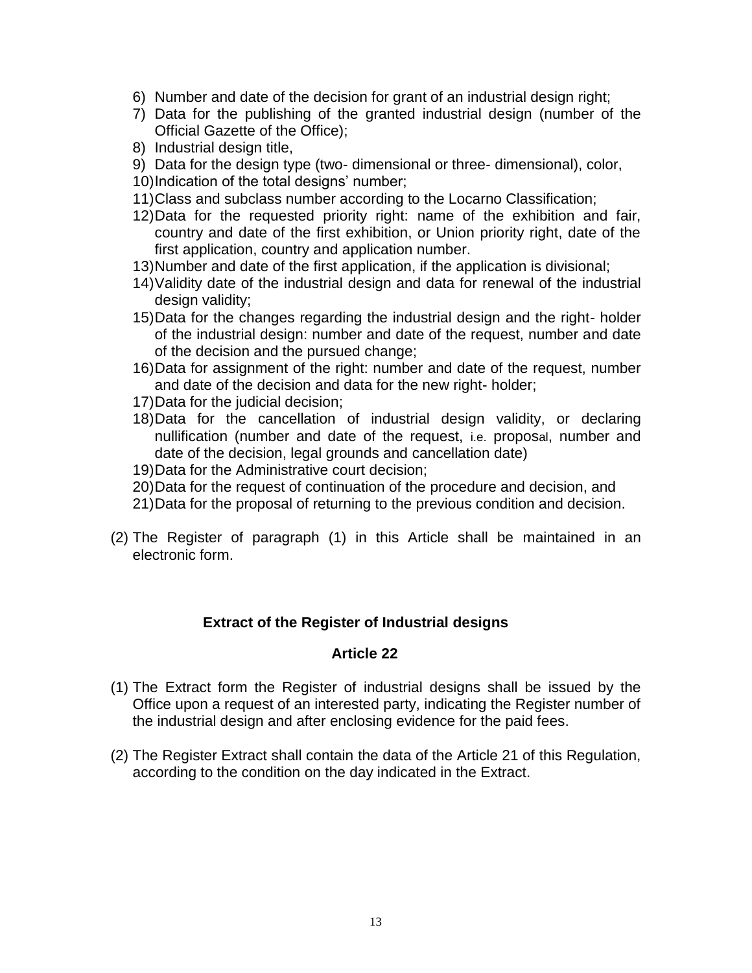- 6) Number and date of the decision for grant of an industrial design right;
- 7) Data for the publishing of the granted industrial design (number of the Official Gazette of the Office);
- 8) Industrial design title,
- 9) Data for the design type (two- dimensional or three- dimensional), color,
- 10)Indication of the total designs' number;
- 11)Class and subclass number according to the Locarno Classification;
- 12)Data for the requested priority right: name of the exhibition and fair, country and date of the first exhibition, or Union priority right, date of the first application, country and application number.
- 13)Number and date of the first application, if the application is divisional;
- 14)Validity date of the industrial design and data for renewal of the industrial design validity;
- 15)Data for the changes regarding the industrial design and the right- holder of the industrial design: number and date of the request, number and date of the decision and the pursued change;
- 16)Data for assignment of the right: number and date of the request, number and date of the decision and data for the new right- holder;
- 17)Data for the judicial decision;
- 18)Data for the cancellation of industrial design validity, or declaring nullification (number and date of the request, i.e. proposal, number and date of the decision, legal grounds and cancellation date)
- 19)Data for the Administrative court decision;
- 20)Data for the request of continuation of the procedure and decision, and
- 21)Data for the proposal of returning to the previous condition and decision.
- (2) The Register of paragraph (1) in this Article shall be maintained in an electronic form.

### **Extract of the Register of Industrial designs**

- (1) The Extract form the Register of industrial designs shall be issued by the Office upon a request of an interested party, indicating the Register number of the industrial design and after enclosing evidence for the paid fees.
- (2) The Register Extract shall contain the data of the Article 21 of this Regulation, according to the condition on the day indicated in the Extract.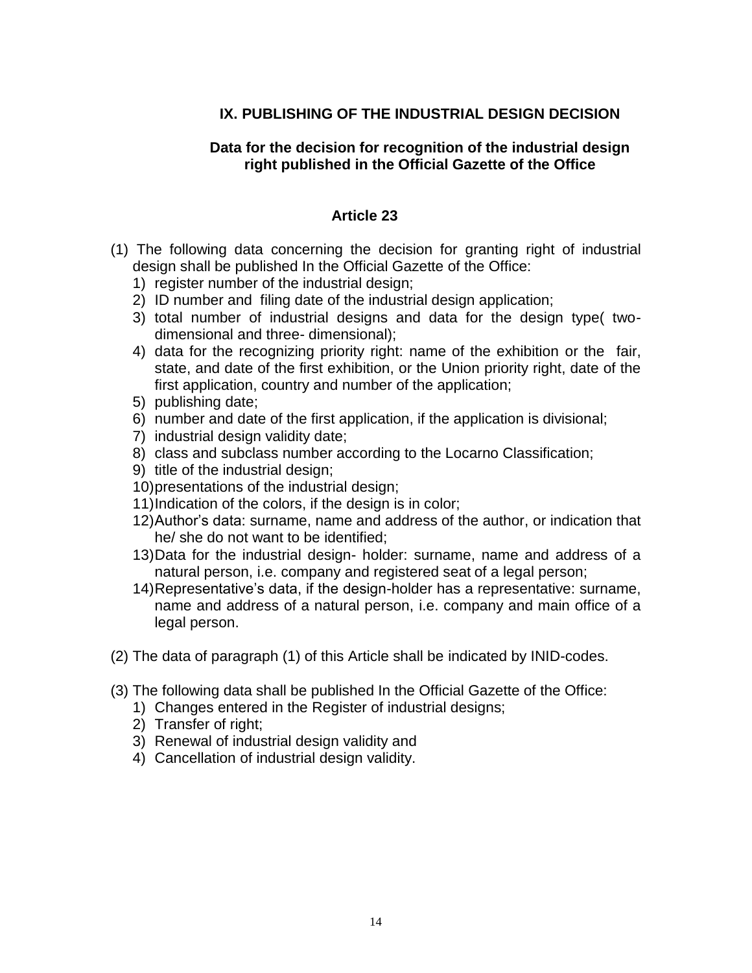# **IX. PUBLISHING OF THE INDUSTRIAL DESIGN DECISION**

### **Data for the decision for recognition of the industrial design right published in the Official Gazette of the Office**

- (1) The following data concerning the decision for granting right of industrial design shall be published In the Official Gazette of the Office:
	- 1) register number of the industrial design;
	- 2) ID number and filing date of the industrial design application;
	- 3) total number of industrial designs and data for the design type( twodimensional and three- dimensional);
	- 4) data for the recognizing priority right: name of the exhibition or the fair, state, and date of the first exhibition, or the Union priority right, date of the first application, country and number of the application;
	- 5) publishing date;
	- 6) number and date of the first application, if the application is divisional;
	- 7) industrial design validity date;
	- 8) class and subclass number according to the Locarno Classification;
	- 9) title of the industrial design;
	- 10)presentations of the industrial design;
	- 11)Indication of the colors, if the design is in color;
	- 12)Author's data: surname, name and address of the author, or indication that he/ she do not want to be identified;
	- 13)Data for the industrial design- holder: surname, name and address of a natural person, i.e. company and registered seat of a legal person;
	- 14)Representative's data, if the design-holder has a representative: surname, name and address of a natural person, i.e. company and main office of a legal person.
- (2) The data of paragraph (1) of this Article shall be indicated by INID-codes.
- (3) The following data shall be published In the Official Gazette of the Office:
	- 1) Changes entered in the Register of industrial designs;
	- 2) Transfer of right;
	- 3) Renewal of industrial design validity and
	- 4) Cancellation of industrial design validity.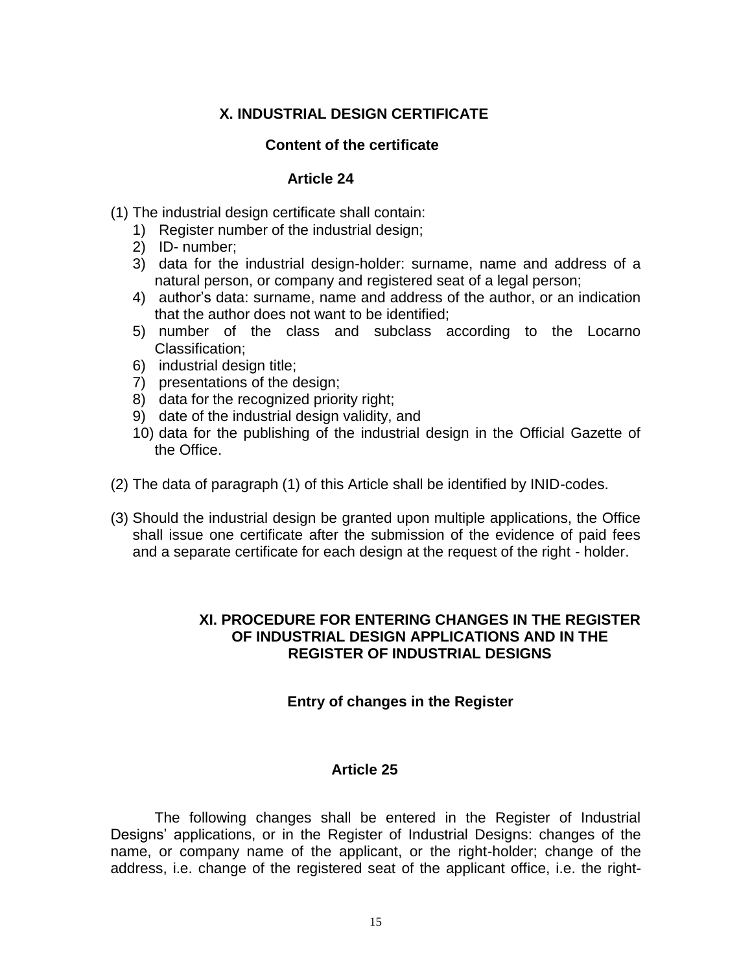# **X. INDUSTRIAL DESIGN CERTIFICATE**

#### **Content of the certificate**

#### **Article 24**

- (1) The industrial design certificate shall contain:
	- 1) Register number of the industrial design;
	- 2) ID- number;
	- 3) data for the industrial design-holder: surname, name and address of a natural person, or company and registered seat of a legal person;
	- 4) author's data: surname, name and address of the author, or an indication that the author does not want to be identified;
	- 5) number of the class and subclass according to the Locarno Classification;
	- 6) industrial design title;
	- 7) presentations of the design;
	- 8) data for the recognized priority right;
	- 9) date of the industrial design validity, and
	- 10) data for the publishing of the industrial design in the Official Gazette of the Office.
- (2) The data of paragraph (1) of this Article shall be identified by INID-codes.
- (3) Should the industrial design be granted upon multiple applications, the Office shall issue one certificate after the submission of the evidence of paid fees and a separate certificate for each design at the request of the right - holder.

#### **XI. PROCEDURE FOR ENTERING CHANGES IN THE REGISTER OF INDUSTRIAL DESIGN APPLICATIONS AND IN THE REGISTER OF INDUSTRIAL DESIGNS**

#### **Entry of changes in the Register**

#### **Article 25**

The following changes shall be entered in the Register of Industrial Designs' applications, or in the Register of Industrial Designs: changes of the name, or company name of the applicant, or the right-holder; change of the address, i.e. change of the registered seat of the applicant office, i.e. the right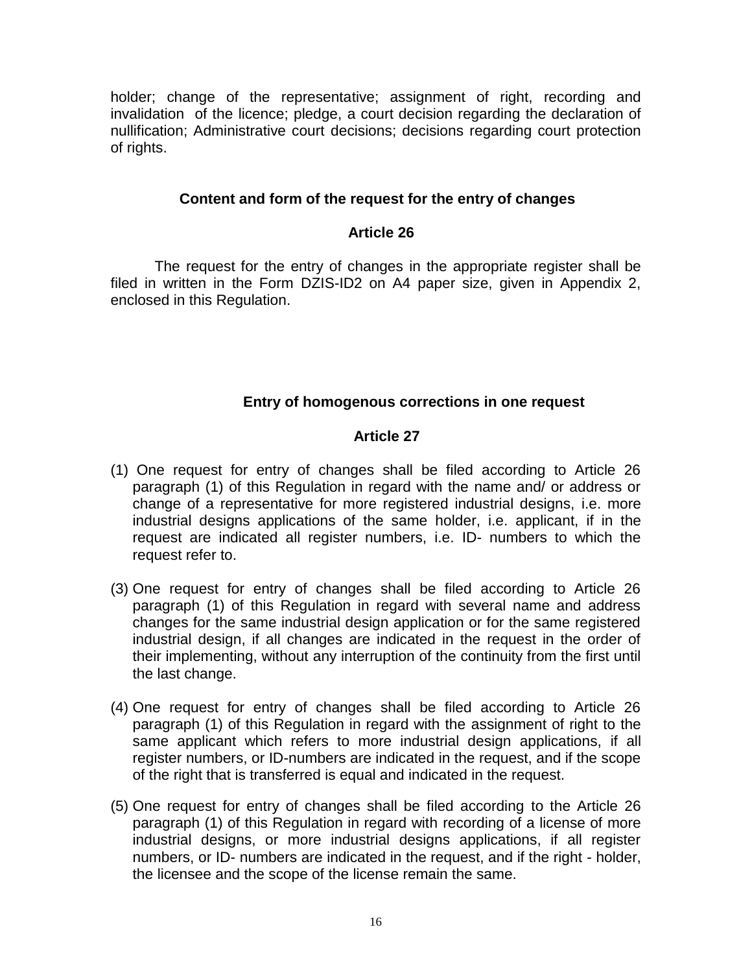holder; change of the representative; assignment of right, recording and invalidation of the licence; pledge, a court decision regarding the declaration of nullification; Administrative court decisions; decisions regarding court protection of rights.

## **Content and form of the request for the entry of changes**

## **Article 26**

The request for the entry of changes in the appropriate register shall be filed in written in the Form DZIS-ID2 on A4 paper size, given in Appendix 2, enclosed in this Regulation.

# **Entry of homogenous corrections in one request**

- (1) One request for entry of changes shall be filed according to Article 26 paragraph (1) of this Regulation in regard with the name and/ or address or change of a representative for more registered industrial designs, i.e. more industrial designs applications of the same holder, i.e. applicant, if in the request are indicated all register numbers, i.e. ID- numbers to which the request refer to.
- (3) One request for entry of changes shall be filed according to Article 26 paragraph (1) of this Regulation in regard with several name and address changes for the same industrial design application or for the same registered industrial design, if all changes are indicated in the request in the order of their implementing, without any interruption of the continuity from the first until the last change.
- (4) One request for entry of changes shall be filed according to Article 26 paragraph (1) of this Regulation in regard with the assignment of right to the same applicant which refers to more industrial design applications, if all register numbers, or ID-numbers are indicated in the request, and if the scope of the right that is transferred is equal and indicated in the request.
- (5) One request for entry of changes shall be filed according to the Article 26 paragraph (1) of this Regulation in regard with recording of a license of more industrial designs, or more industrial designs applications, if all register numbers, or ID- numbers are indicated in the request, and if the right - holder, the licensee and the scope of the license remain the same.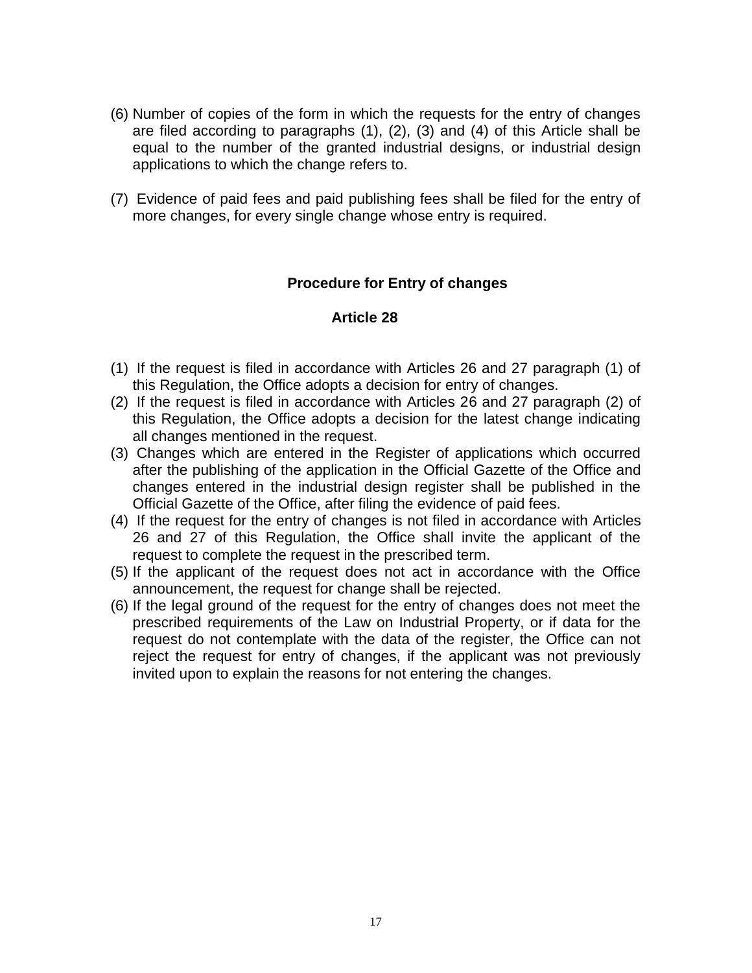- (6) Number of copies of the form in which the requests for the entry of changes are filed according to paragraphs (1), (2), (3) and (4) of this Article shall be equal to the number of the granted industrial designs, or industrial design applications to which the change refers to.
- (7) Evidence of paid fees and paid publishing fees shall be filed for the entry of more changes, for every single change whose entry is required.

# **Procedure for Entry of changes**

- (1) If the request is filed in accordance with Articles 26 and 27 paragraph (1) of this Regulation, the Office adopts a decision for entry of changes.
- (2) If the request is filed in accordance with Articles 26 and 27 paragraph (2) of this Regulation, the Office adopts a decision for the latest change indicating all changes mentioned in the request.
- (3) Changes which are entered in the Register of applications which occurred after the publishing of the application in the Official Gazette of the Office and changes entered in the industrial design register shall be published in the Official Gazette of the Office, after filing the evidence of paid fees.
- (4) If the request for the entry of changes is not filed in accordance with Articles 26 and 27 of this Regulation, the Office shall invite the applicant of the request to complete the request in the prescribed term.
- (5) If the applicant of the request does not act in accordance with the Office announcement, the request for change shall be rejected.
- (6) If the legal ground of the request for the entry of changes does not meet the prescribed requirements of the Law on Industrial Property, or if data for the request do not contemplate with the data of the register, the Office can not reject the request for entry of changes, if the applicant was not previously invited upon to explain the reasons for not entering the changes.